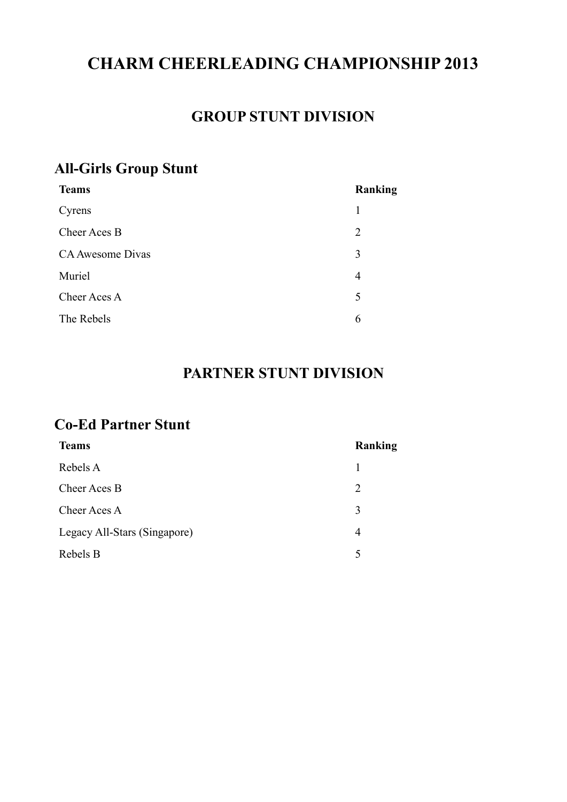# **CHARM CHEERLEADING CHAMPIONSHIP 2013**

#### **GROUP STUNT DIVISION**

#### **All-Girls Group Stunt**

| <b>Teams</b>     | Ranking        |
|------------------|----------------|
| Cyrens           | 1              |
| Cheer Aces B     | $\overline{2}$ |
| CA Awesome Divas | 3              |
| Muriel           | $\overline{4}$ |
| Cheer Aces A     | 5              |
| The Rebels       | 6              |
|                  |                |

### **PARTNER STUNT DIVISION**

#### **Co-Ed Partner Stunt**

| <b>Teams</b>                 | Ranking                     |
|------------------------------|-----------------------------|
| Rebels A                     | 1                           |
| Cheer Aces B                 | $\mathcal{D}_{\mathcal{L}}$ |
| Cheer Aces A                 | 3                           |
| Legacy All-Stars (Singapore) | 4                           |
| Rebels B                     | 5                           |
|                              |                             |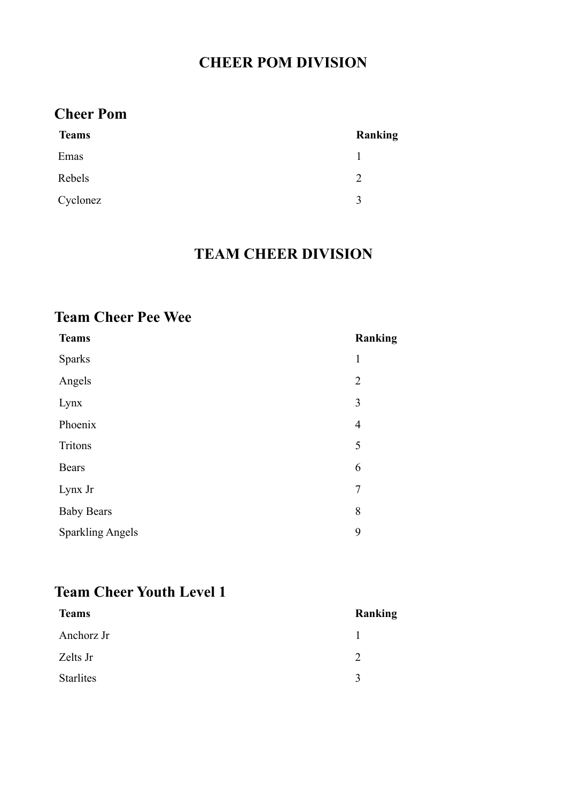## **CHEER POM DIVISION**

## **Cheer Pom**

| <b>Teams</b> | <b>Ranking</b> |
|--------------|----------------|
| Emas         |                |
| Rebels       | 2              |
| Cyclonez     | $\mathcal{R}$  |

#### **TEAM CHEER DIVISION**

### **Team Cheer Pee Wee**

| <b>Teams</b>            | <b>Ranking</b> |
|-------------------------|----------------|
| <b>Sparks</b>           | $\mathbf{1}$   |
| Angels                  | $\overline{2}$ |
| Lynx                    | 3              |
| Phoenix                 | $\overline{4}$ |
| Tritons                 | 5              |
| <b>Bears</b>            | 6              |
| Lynx Jr                 | $\overline{7}$ |
| <b>Baby Bears</b>       | 8              |
| <b>Sparkling Angels</b> | 9              |

## **Team Cheer Youth Level 1**

| <b>Teams</b>     | Ranking      |
|------------------|--------------|
| Anchorz Jr       |              |
| Zelts Jr         | C            |
| <b>Starlites</b> | $\mathbf{R}$ |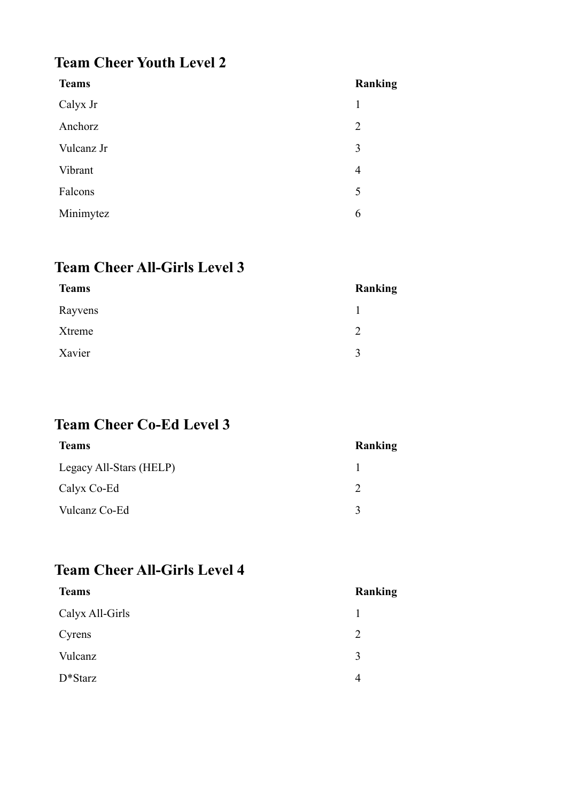## **Team Cheer Youth Level 2**

| <b>Teams</b> | Ranking        |
|--------------|----------------|
| Calyx Jr     | 1              |
| Anchorz      | $\overline{2}$ |
| Vulcanz Jr   | 3              |
| Vibrant      | 4              |
| Falcons      | 5              |
| Minimytez    | 6              |

## **Team Cheer All-Girls Level 3**

| <b>Teams</b> | Ranking      |
|--------------|--------------|
| Rayvens      |              |
| Xtreme       | C            |
| Xavier       | $\mathbf{R}$ |

# **Team Cheer Co-Ed Level 3**

| <b>Teams</b>            | Ranking |
|-------------------------|---------|
| Legacy All-Stars (HELP) |         |
| Calyx Co-Ed             |         |
| Vulcanz Co-Ed           |         |

#### **Team Cheer All-Girls Level 4**

| <b>Teams</b>    | Ranking |
|-----------------|---------|
| Calyx All-Girls |         |
| 2<br>Cyrens     |         |
| Vulcanz<br>3    |         |
| $D^*Starz$<br>4 |         |